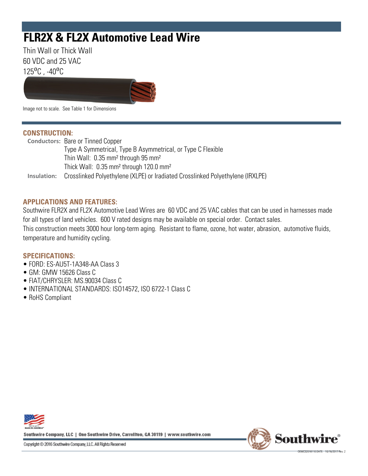# **FLR2X & FL2X Automotive Lead Wire**

Thin Wall or Thick Wall 60 VDC and 25 VAC  $125^{\circ}$ C,  $-40^{\circ}$ C



Image not to scale. See Table 1 for Dimensions

### **CONSTRUCTION:**

Conductors: Bare or Tinned Copper Type A Symmetrical, Type B Asymmetrical, or Type C Flexible Thin Wall: 0.35 mm² through 95 mm² Thick Wall: 0.35 mm² through 120.0 mm² Insulation: Crosslinked Polyethylene (XLPE) or Iradiated Crosslinked Polyethylene (IRXLPE)

## **APPLICATIONS AND FEATURES:**

Southwire FLR2X and FL2X Automotive Lead Wires are 60 VDC and 25 VAC cables that can be used in harnesses made for all types of land vehicles. 600 V rated designs may be available on special order. Contact sales. This construction meets 3000 hour long-term aging. Resistant to flame, ozone, hot water, abrasion, automotive fluids, temperature and humidity cycling.

## **SPECIFICATIONS:**

- FORD: ES-AU5T-1A348-AA Class 3
- GM: GMW 15626 Class C
- FIAT/CHRYSLER: MS.90034 Class C
- INTERNATIONAL STANDARDS: ISO14572, ISO 6722-1 Class C
- RoHS Compliant



Southwire Company, LLC | One Southwire Drive, Carrollton, GA 30119 | www.southwire.com